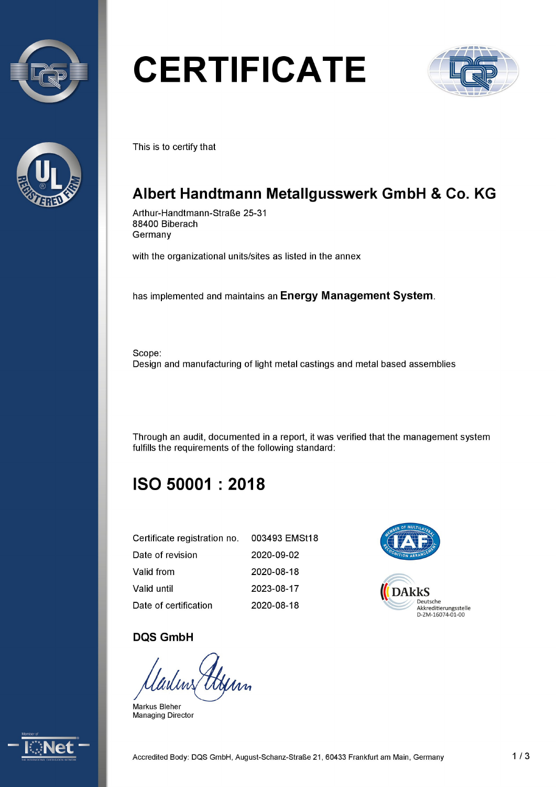



# **CERTIFICATE**



This is to certify that

# Albert Handtmann Metallgusswerk GmbH & Co. KG

Arthur-Handtmann-Straße 25-31 88400 Biberach Germany

with the organizational units/sites as listed in the annex

has implemented and maintains an Energy Management System.

Scope: Design and manufacturing of light metal castings and metal based assemblies

Through an audit, documented in a report, it was verified that the management system fulfills the requirements of the following standard:

# ISO 50001 : 2018

| Certificate registration no. 003493 EMSt18 |            |                                   |
|--------------------------------------------|------------|-----------------------------------|
| Date of revision                           | 2020-09-02 |                                   |
| Valid from                                 | 2020-08-18 |                                   |
| Valid until                                | 2023-08-17 | <b>DAkkS</b>                      |
| Date of certification                      | 2020-08-18 | Deutsche<br>Akkreditierungsstelle |



#### DQS GmbH

Markus Bleher Managing Director

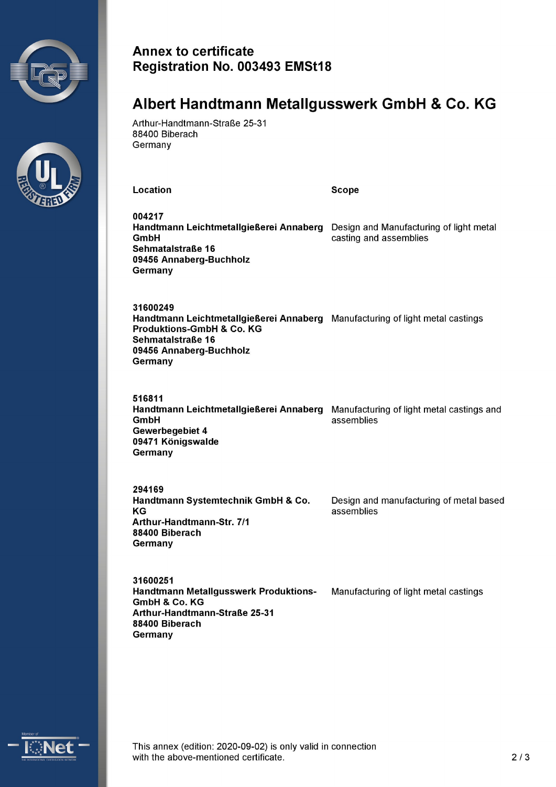



#### Annex to certificate Registration No. 003493 EMSt18

### Albert Handtmann Metallgusswerk GmbH & Co. KG

Arthur-Handtmann-Straße 25-31 88400 Biberach Germany

Location **Scope** 

004217 Handtmann Leichtmetallgießerei Annaberg Design and Manufacturing of light metal **GmbH casting and assemblies** Sehmatalstraße 16 09456 Annaberg-Buchholz **Germany** 

31600249 Handtmann Leichtmetallgießerei Annaberg Manufacturing of light metal castings Produktions-GmbH & Co. KG Sehmatalstraße 16 09456 Annaberg-Buchholz Germany

516811 Handtmann Leichtmetallgießerei Annaberg Manufacturing of light metal castings and GmbH assemblies Gewerbegebiet 4 09471 Königswalde **Germany** 

294169 Handtmann Systemtechnik GmbH & Co. Design and manufacturing of metal based KG assemblies Arthur-Handtmann-Str. 7/1 88400 Biberach Germany

31600251 Handtmann Metallgusswerk Produktions- Manufacturing of light metal castings GmbH & Co.KG Arthur-Handtmann-Straße 25-31 88400 Biberach Germany



This annex (edition: 2020-09-02) is only valid in connection<br>with the above-mentioned certificate.